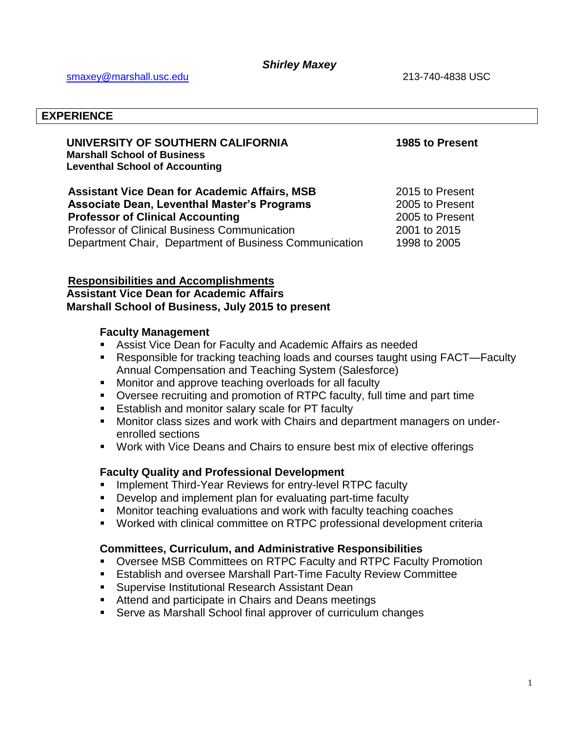#### **EXPERIENCE**

#### **UNIVERSITY OF SOUTHERN CALIFORNIA 1985 to Present Marshall School of Business Leventhal School of Accounting**

**Assistant Vice Dean for Academic Affairs, MSB 2015 to Present Assistant Organization Associate Dean, Leventhal Master's Programs** 2005 to Present **Professor of Clinical Accounting 2005 to Present** Professor of Clinical Business Communication 2001 to 2015 Department Chair, Department of Business Communication 1998 to 2005

### **Responsibilities and Accomplishments**

**Assistant Vice Dean for Academic Affairs Marshall School of Business, July 2015 to present**

#### **Faculty Management**

- Assist Vice Dean for Faculty and Academic Affairs as needed
- Responsible for tracking teaching loads and courses taught using FACT—Faculty Annual Compensation and Teaching System (Salesforce)
- **Monitor and approve teaching overloads for all faculty**
- Oversee recruiting and promotion of RTPC faculty, full time and part time
- **Establish and monitor salary scale for PT faculty**
- Monitor class sizes and work with Chairs and department managers on underenrolled sections
- Work with Vice Deans and Chairs to ensure best mix of elective offerings

### **Faculty Quality and Professional Development**

- **IMPLEMENT THATH THE SET AT ATT CONCROOF IN THE VALUATION**
- **Develop and implement plan for evaluating part-time faculty**
- **Monitor teaching evaluations and work with faculty teaching coaches**
- Worked with clinical committee on RTPC professional development criteria

### **Committees, Curriculum, and Administrative Responsibilities**

- Oversee MSB Committees on RTPC Faculty and RTPC Faculty Promotion
- Establish and oversee Marshall Part-Time Faculty Review Committee
- **Supervise Institutional Research Assistant Dean**
- **Attend and participate in Chairs and Deans meetings**
- Serve as Marshall School final approver of curriculum changes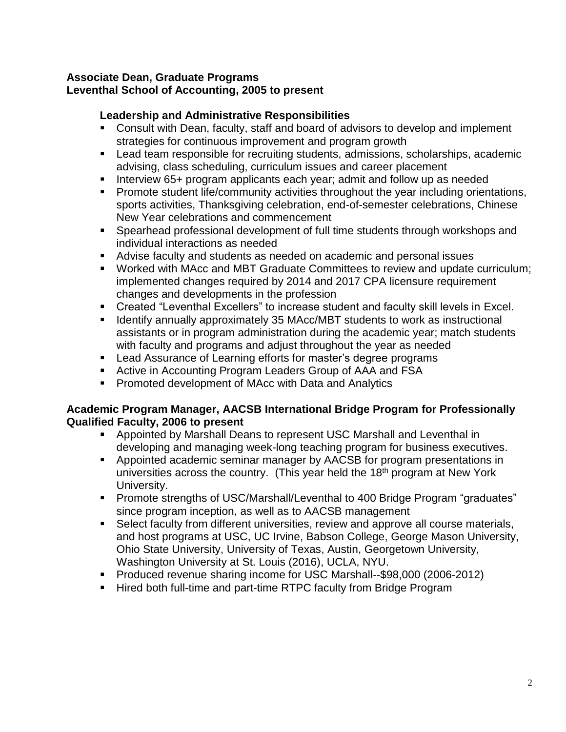## **Associate Dean, Graduate Programs Leventhal School of Accounting, 2005 to present**

# **Leadership and Administrative Responsibilities**

- Consult with Dean, faculty, staff and board of advisors to develop and implement strategies for continuous improvement and program growth
- Lead team responsible for recruiting students, admissions, scholarships, academic advising, class scheduling, curriculum issues and career placement
- Interview 65+ program applicants each year; admit and follow up as needed
- **Promote student life/community activities throughout the year including orientations,** sports activities, Thanksgiving celebration, end-of-semester celebrations, Chinese New Year celebrations and commencement
- Spearhead professional development of full time students through workshops and individual interactions as needed
- Advise faculty and students as needed on academic and personal issues
- Worked with MAcc and MBT Graduate Committees to review and update curriculum; implemented changes required by 2014 and 2017 CPA licensure requirement changes and developments in the profession
- Created "Leventhal Excellers" to increase student and faculty skill levels in Excel.
- **IDED 15 IDENT** Identify annually approximately 35 MAcc/MBT students to work as instructional assistants or in program administration during the academic year; match students with faculty and programs and adjust throughout the year as needed
- **EXECT** Lead Assurance of Learning efforts for master's degree programs
- Active in Accounting Program Leaders Group of AAA and FSA
- **Promoted development of MAcc with Data and Analytics**

## **Academic Program Manager, AACSB International Bridge Program for Professionally Qualified Faculty, 2006 to present**

- Appointed by Marshall Deans to represent USC Marshall and Leventhal in developing and managing week-long teaching program for business executives.
- Appointed academic seminar manager by AACSB for program presentations in universities across the country. (This year held the  $18<sup>th</sup>$  program at New York University.
- Promote strengths of USC/Marshall/Leventhal to 400 Bridge Program "graduates" since program inception, as well as to AACSB management
- Select faculty from different universities, review and approve all course materials, and host programs at USC, UC Irvine, Babson College, George Mason University, Ohio State University, University of Texas, Austin, Georgetown University, Washington University at St. Louis (2016), UCLA, NYU.
- **Produced revenue sharing income for USC Marshall--\$98,000 (2006-2012)**
- **Hired both full-time and part-time RTPC faculty from Bridge Program**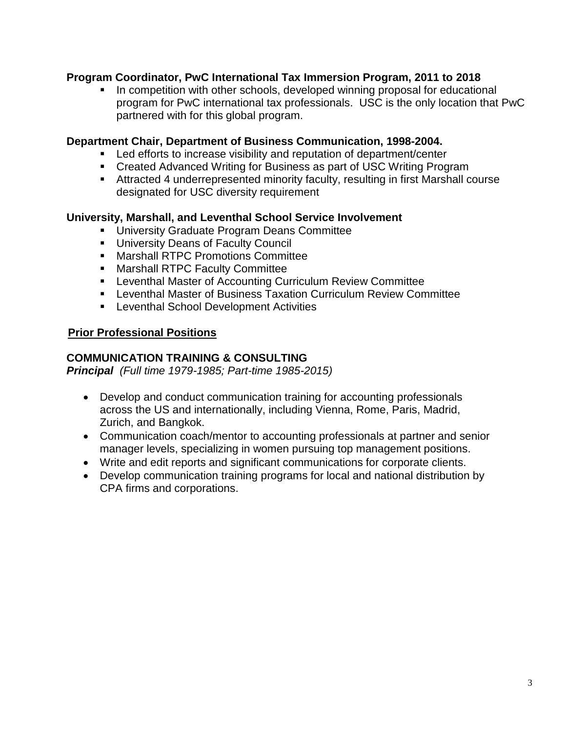## **Program Coordinator, PwC International Tax Immersion Program, 2011 to 2018**

In competition with other schools, developed winning proposal for educational program for PwC international tax professionals. USC is the only location that PwC partnered with for this global program.

### **Department Chair, Department of Business Communication, 1998-2004.**

- **EXECT** Led efforts to increase visibility and reputation of department/center
- **EXECTED ADVALUATE:** Created Advanced Writing for Business as part of USC Writing Program
- Attracted 4 underrepresented minority faculty, resulting in first Marshall course designated for USC diversity requirement

## **University, Marshall, and Leventhal School Service Involvement**

- **University Graduate Program Deans Committee**
- **University Deans of Faculty Council**
- **Marshall RTPC Promotions Committee**
- **Marshall RTPC Faculty Committee**
- Leventhal Master of Accounting Curriculum Review Committee
- Leventhal Master of Business Taxation Curriculum Review Committee
- **EXEC** Leventhal School Development Activities

## **Prior Professional Positions**

## **COMMUNICATION TRAINING & CONSULTING**

*Principal (Full time 1979-1985; Part-time 1985-2015)*

- Develop and conduct communication training for accounting professionals across the US and internationally, including Vienna, Rome, Paris, Madrid, Zurich, and Bangkok.
- Communication coach/mentor to accounting professionals at partner and senior manager levels, specializing in women pursuing top management positions.
- Write and edit reports and significant communications for corporate clients.
- Develop communication training programs for local and national distribution by CPA firms and corporations.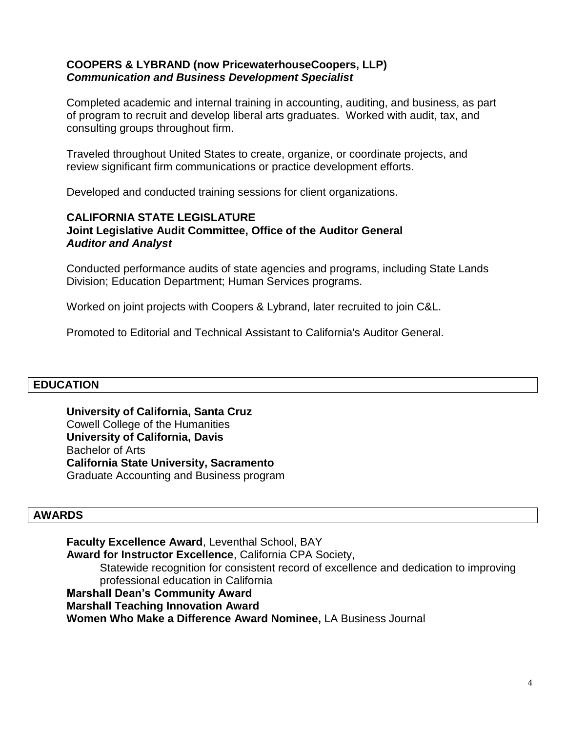### **COOPERS & LYBRAND (now PricewaterhouseCoopers, LLP)** *Communication and Business Development Specialist*

Completed academic and internal training in accounting, auditing, and business, as part of program to recruit and develop liberal arts graduates. Worked with audit, tax, and consulting groups throughout firm.

Traveled throughout United States to create, organize, or coordinate projects, and review significant firm communications or practice development efforts.

Developed and conducted training sessions for client organizations.

### **CALIFORNIA STATE LEGISLATURE Joint Legislative Audit Committee, Office of the Auditor General** *Auditor and Analyst*

Conducted performance audits of state agencies and programs, including State Lands Division; Education Department; Human Services programs.

Worked on joint projects with Coopers & Lybrand, later recruited to join C&L.

Promoted to Editorial and Technical Assistant to California's Auditor General.

## **EDUCATION**

**University of California, Santa Cruz** Cowell College of the Humanities **University of California, Davis** Bachelor of Arts **California State University, Sacramento** Graduate Accounting and Business program

#### **AWARDS**

**Faculty Excellence Award**, Leventhal School, BAY **Award for Instructor Excellence**, California CPA Society, Statewide recognition for consistent record of excellence and dedication to improving professional education in California **Marshall Dean's Community Award Marshall Teaching Innovation Award Women Who Make a Difference Award Nominee,** LA Business Journal